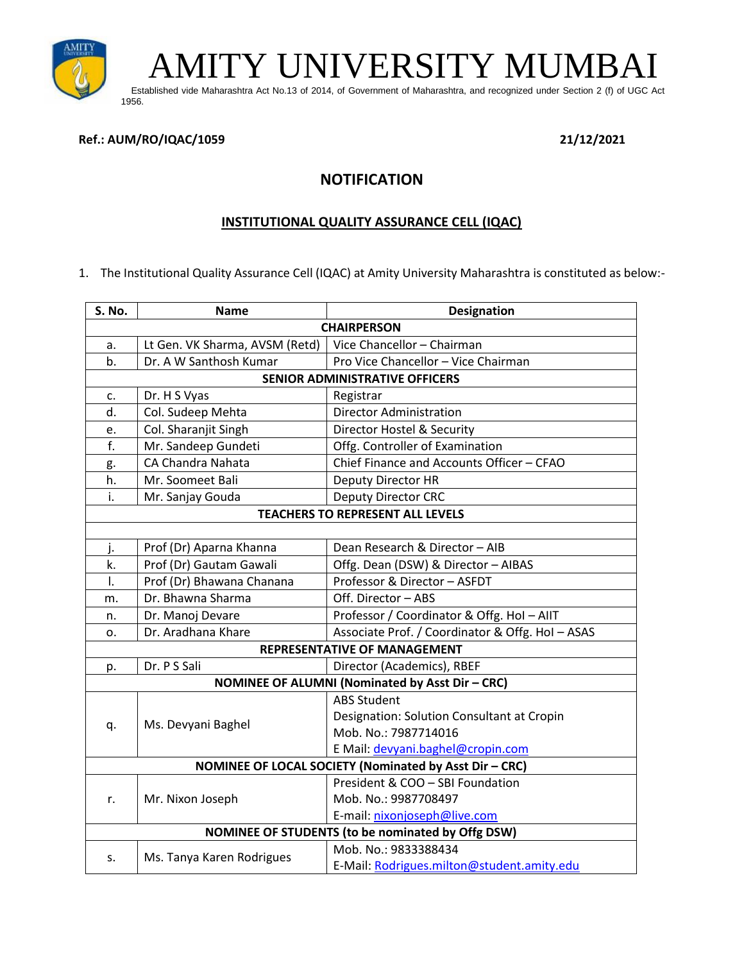

AMITY UNIVERSITY MUMBAI

 Established vide Maharashtra Act No.13 of 2014, of Government of Maharashtra, and recognized under Section 2 (f) of UGC Act 1956.

### **Ref.: AUM/RO/IQAC/1059 21/12/2021**

# **NOTIFICATION**

## **INSTITUTIONAL QUALITY ASSURANCE CELL (IQAC)**

1. The Institutional Quality Assurance Cell (IQAC) at Amity University Maharashtra is constituted as below:-

| S. No.                                                   | <b>Name</b>                    | <b>Designation</b>                               |  |
|----------------------------------------------------------|--------------------------------|--------------------------------------------------|--|
| <b>CHAIRPERSON</b>                                       |                                |                                                  |  |
| a.                                                       | Lt Gen. VK Sharma, AVSM (Retd) | Vice Chancellor - Chairman                       |  |
| b.                                                       | Dr. A W Santhosh Kumar         | Pro Vice Chancellor - Vice Chairman              |  |
| <b>SENIOR ADMINISTRATIVE OFFICERS</b>                    |                                |                                                  |  |
| c.                                                       | Dr. H S Vyas                   | Registrar                                        |  |
| d.                                                       | Col. Sudeep Mehta              | <b>Director Administration</b>                   |  |
| e.                                                       | Col. Sharanjit Singh           | Director Hostel & Security                       |  |
| f.                                                       | Mr. Sandeep Gundeti            | Offg. Controller of Examination                  |  |
| g.                                                       | CA Chandra Nahata              | Chief Finance and Accounts Officer - CFAO        |  |
| h.                                                       | Mr. Soomeet Bali               | Deputy Director HR                               |  |
| i.                                                       | Mr. Sanjay Gouda               | <b>Deputy Director CRC</b>                       |  |
| <b>TEACHERS TO REPRESENT ALL LEVELS</b>                  |                                |                                                  |  |
|                                                          |                                |                                                  |  |
| j.                                                       | Prof (Dr) Aparna Khanna        | Dean Research & Director - AIB                   |  |
| k.                                                       | Prof (Dr) Gautam Gawali        | Offg. Dean (DSW) & Director - AIBAS              |  |
| I.                                                       | Prof (Dr) Bhawana Chanana      | Professor & Director - ASFDT                     |  |
| m.                                                       | Dr. Bhawna Sharma              | Off. Director - ABS                              |  |
| n.                                                       | Dr. Manoj Devare               | Professor / Coordinator & Offg. Hol-AllT         |  |
| $\Omega$ .                                               | Dr. Aradhana Khare             | Associate Prof. / Coordinator & Offg. Hol - ASAS |  |
|                                                          |                                | <b>REPRESENTATIVE OF MANAGEMENT</b>              |  |
| p.                                                       | Dr. P S Sali                   | Director (Academics), RBEF                       |  |
| NOMINEE OF ALUMNI (Nominated by Asst Dir - CRC)          |                                |                                                  |  |
|                                                          | Ms. Devyani Baghel             | <b>ABS Student</b>                               |  |
|                                                          |                                | Designation: Solution Consultant at Cropin       |  |
| q.                                                       |                                | Mob. No.: 7987714016                             |  |
|                                                          |                                | E Mail: devyani.baghel@cropin.com                |  |
| NOMINEE OF LOCAL SOCIETY (Nominated by Asst Dir - CRC)   |                                |                                                  |  |
|                                                          | Mr. Nixon Joseph               | President & COO - SBI Foundation                 |  |
| r.                                                       |                                | Mob. No.: 9987708497                             |  |
|                                                          |                                | E-mail: nixonjoseph@live.com                     |  |
| <b>NOMINEE OF STUDENTS (to be nominated by Offg DSW)</b> |                                |                                                  |  |
| s.                                                       | Ms. Tanya Karen Rodrigues      | Mob. No.: 9833388434                             |  |
|                                                          |                                | E-Mail: Rodrigues.milton@student.amity.edu       |  |